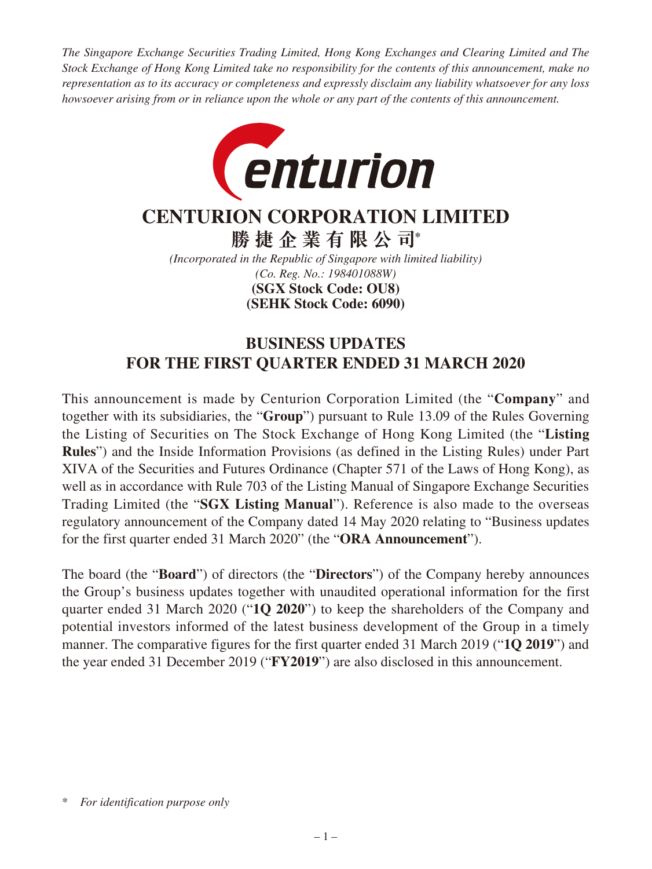*The Singapore Exchange Securities Trading Limited, Hong Kong Exchanges and Clearing Limited and The Stock Exchange of Hong Kong Limited take no responsibility for the contents of this announcement, make no representation as to its accuracy or completeness and expressly disclaim any liability whatsoever for any loss howsoever arising from or in reliance upon the whole or any part of the contents of this announcement.*



# **CENTURION CORPORATION LIMITED**

**勝捷企業有限公司\***

*(Incorporated in the Republic of Singapore with limited liability) (Co. Reg. No.: 198401088W)* **(SEHK Stock Code: 6090) (SGX Stock Code: OU8)**

# **BUSINESS UPDATES FOR THE FIRST QUARTER ENDED 31 MARCH 2020**

This announcement is made by Centurion Corporation Limited (the "**Company**" and together with its subsidiaries, the "**Group**") pursuant to Rule 13.09 of the Rules Governing the Listing of Securities on The Stock Exchange of Hong Kong Limited (the "**Listing Rules**") and the Inside Information Provisions (as defined in the Listing Rules) under Part XIVA of the Securities and Futures Ordinance (Chapter 571 of the Laws of Hong Kong), as well as in accordance with Rule 703 of the Listing Manual of Singapore Exchange Securities Trading Limited (the "**SGX Listing Manual**"). Reference is also made to the overseas regulatory announcement of the Company dated 14 May 2020 relating to "Business updates for the first quarter ended 31 March 2020" (the "**ORA Announcement**").

The board (the "**Board**") of directors (the "**Directors**") of the Company hereby announces the Group's business updates together with unaudited operational information for the first quarter ended 31 March 2020 ("**1Q 2020**") to keep the shareholders of the Company and potential investors informed of the latest business development of the Group in a timely manner. The comparative figures for the first quarter ended 31 March 2019 ("**1Q 2019**") and the year ended 31 December 2019 ("**FY2019**") are also disclosed in this announcement.

<sup>\*</sup> *For identification purpose only*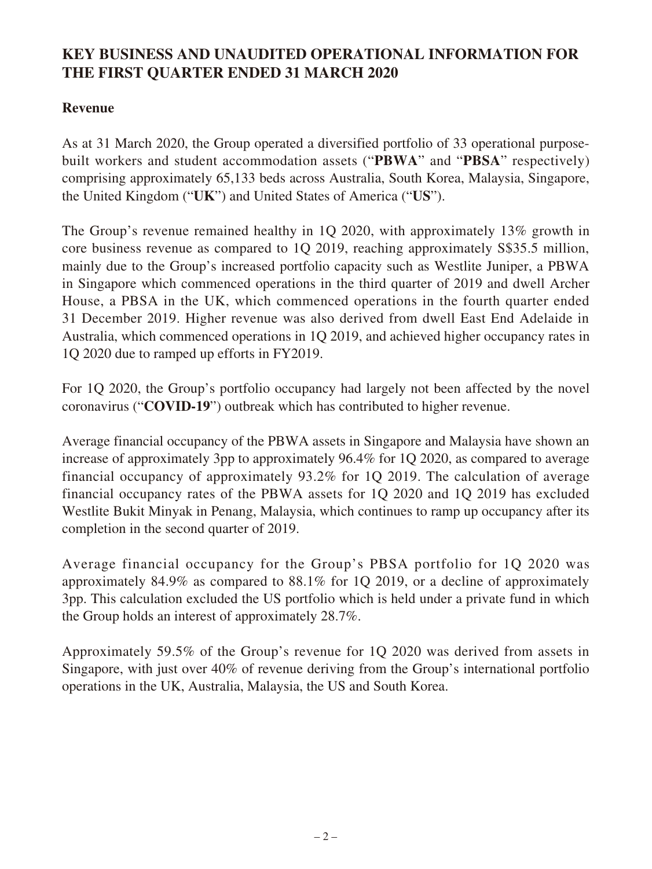## **KEY BUSINESS AND UNAUDITED OPERATIONAL INFORMATION FOR THE FIRST QUARTER ENDED 31 MARCH 2020**

## **Revenue**

As at 31 March 2020, the Group operated a diversified portfolio of 33 operational purposebuilt workers and student accommodation assets ("**PBWA**" and "**PBSA**" respectively) comprising approximately 65,133 beds across Australia, South Korea, Malaysia, Singapore, the United Kingdom ("**UK**") and United States of America ("**US**").

The Group's revenue remained healthy in 1Q 2020, with approximately 13% growth in core business revenue as compared to 1Q 2019, reaching approximately S\$35.5 million, mainly due to the Group's increased portfolio capacity such as Westlite Juniper, a PBWA in Singapore which commenced operations in the third quarter of 2019 and dwell Archer House, a PBSA in the UK, which commenced operations in the fourth quarter ended 31 December 2019. Higher revenue was also derived from dwell East End Adelaide in Australia, which commenced operations in 1Q 2019, and achieved higher occupancy rates in 1Q 2020 due to ramped up efforts in FY2019.

For 1Q 2020, the Group's portfolio occupancy had largely not been affected by the novel coronavirus ("**COVID-19**") outbreak which has contributed to higher revenue.

Average financial occupancy of the PBWA assets in Singapore and Malaysia have shown an increase of approximately 3pp to approximately 96.4% for 1Q 2020, as compared to average financial occupancy of approximately 93.2% for 1Q 2019. The calculation of average financial occupancy rates of the PBWA assets for 1Q 2020 and 1Q 2019 has excluded Westlite Bukit Minyak in Penang, Malaysia, which continues to ramp up occupancy after its completion in the second quarter of 2019.

Average financial occupancy for the Group's PBSA portfolio for 1Q 2020 was approximately 84.9% as compared to 88.1% for 1Q 2019, or a decline of approximately 3pp. This calculation excluded the US portfolio which is held under a private fund in which the Group holds an interest of approximately 28.7%.

Approximately 59.5% of the Group's revenue for 1Q 2020 was derived from assets in Singapore, with just over 40% of revenue deriving from the Group's international portfolio operations in the UK, Australia, Malaysia, the US and South Korea.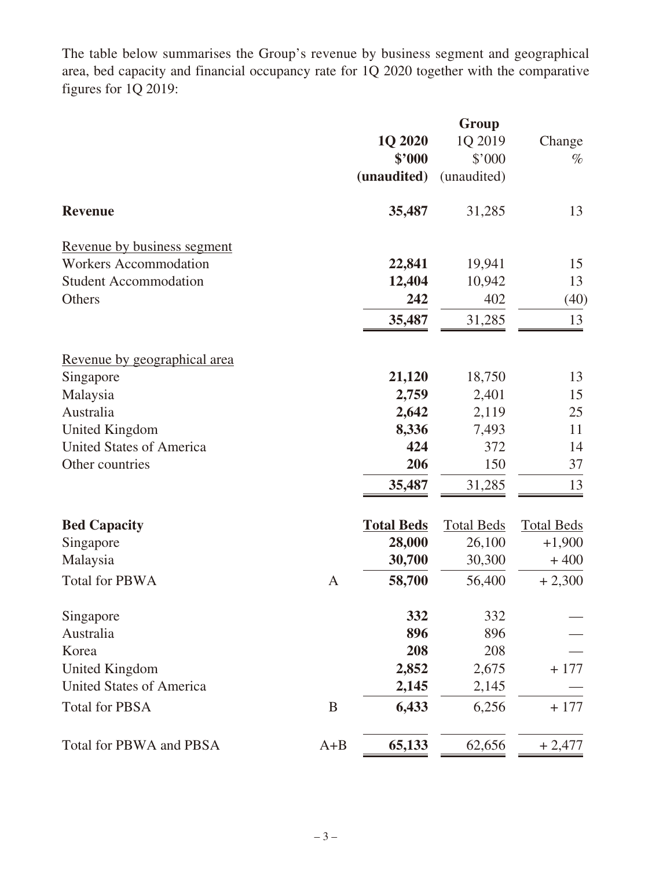The table below summarises the Group's revenue by business segment and geographical area, bed capacity and financial occupancy rate for 1Q 2020 together with the comparative figures for 1Q 2019:

|                                 |              | 1Q 2020           | 1Q 2019           | Change             |
|---------------------------------|--------------|-------------------|-------------------|--------------------|
|                                 |              | \$'000            | \$'000            | $\%$               |
|                                 |              | (unaudited)       | (unaudited)       |                    |
| <b>Revenue</b>                  |              | 35,487            | 31,285            | 13                 |
| Revenue by business segment     |              |                   |                   |                    |
| <b>Workers Accommodation</b>    |              | 22,841            | 19,941            | 15                 |
| <b>Student Accommodation</b>    |              | 12,404            | 10,942            | 13                 |
| Others                          |              | 242               | 402               | (40)               |
|                                 |              | 35,487            | 31,285            | 13                 |
| Revenue by geographical area    |              |                   |                   |                    |
| Singapore                       |              | 21,120            | 18,750            | 13                 |
| Malaysia                        |              | 2,759             | 2,401             | 15                 |
| Australia                       |              | 2,642             | 2,119             | 25                 |
| <b>United Kingdom</b>           |              | 8,336             | 7,493             | 11                 |
| <b>United States of America</b> |              | 424               | 372               | 14                 |
| Other countries                 |              | 206               | 150               | 37                 |
|                                 |              | 35,487            | 31,285            | 13                 |
|                                 |              |                   |                   |                    |
| <b>Bed Capacity</b>             |              | <b>Total Beds</b> | <b>Total Beds</b> | <b>Total Beds</b>  |
| Singapore<br>Malaysia           |              | 28,000<br>30,700  | 26,100<br>30,300  | $+1,900$<br>$+400$ |
|                                 |              |                   |                   |                    |
| <b>Total for PBWA</b>           | $\mathbf{A}$ | 58,700            | 56,400            | $+2,300$           |
| Singapore                       |              | 332               | 332               |                    |
| Australia                       |              | 896               | 896               |                    |
| Korea                           |              | 208               | 208               |                    |
| <b>United Kingdom</b>           |              | 2,852             | 2,675             | $+177$             |
| <b>United States of America</b> |              | 2,145             | 2,145             |                    |
| <b>Total for PBSA</b>           | B            | 6,433             | 6,256             | $+177$             |
| Total for PBWA and PBSA         | $A + B$      | 65,133            | 62,656            | $+2,477$           |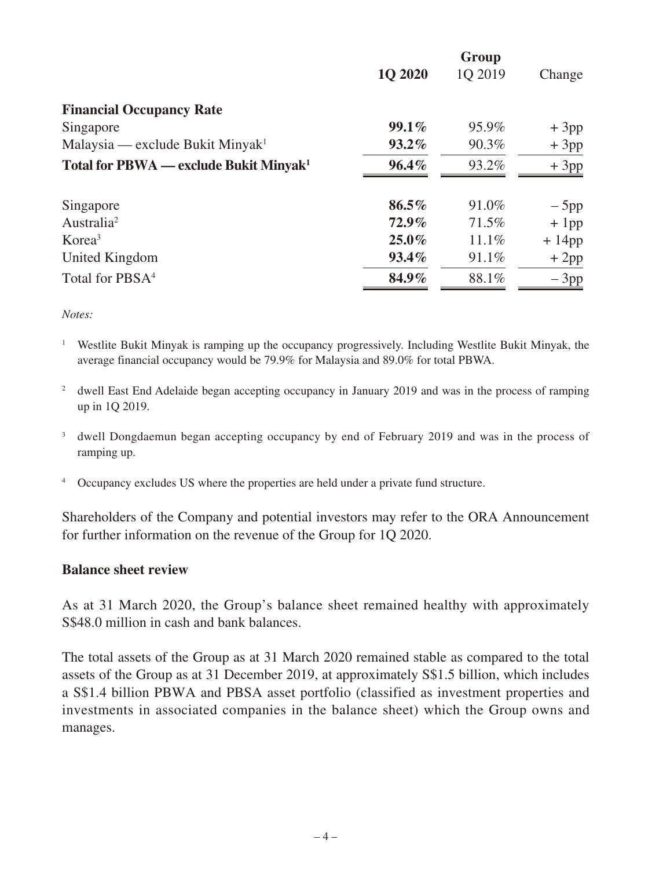|                                                    | <b>1Q 2020</b> | Group<br>1Q 2019 | Change   |
|----------------------------------------------------|----------------|------------------|----------|
| <b>Financial Occupancy Rate</b>                    |                |                  |          |
| Singapore                                          | $99.1\%$       | 95.9%            | $+3pp$   |
| Malaysia — exclude Bukit Minyak <sup>1</sup>       | $93.2\%$       | 90.3%            | $+3pp$   |
| Total for PBWA — exclude Bukit Minyak <sup>1</sup> | $96.4\%$       | 93.2%            | $+3pp$   |
| Singapore                                          | $86.5\%$       | 91.0%            | $-5$ pp  |
| Australia <sup>2</sup>                             | $72.9\%$       | 71.5%            | $+1$ pp  |
| Korea <sup>3</sup>                                 | $25.0\%$       | 11.1%            | $+14$ pp |
| United Kingdom                                     | $93.4\%$       | 91.1%            | $+2pp$   |
| Total for PBSA <sup>4</sup>                        | 84.9%          | 88.1%            | $-3pp$   |

*Notes:*

- <sup>1</sup> Westlite Bukit Minyak is ramping up the occupancy progressively. Including Westlite Bukit Minyak, the average financial occupancy would be 79.9% for Malaysia and 89.0% for total PBWA.
- <sup>2</sup> dwell East End Adelaide began accepting occupancy in January 2019 and was in the process of ramping up in 1Q 2019.
- <sup>3</sup> dwell Dongdaemun began accepting occupancy by end of February 2019 and was in the process of ramping up.
- <sup>4</sup> Occupancy excludes US where the properties are held under a private fund structure.

Shareholders of the Company and potential investors may refer to the ORA Announcement for further information on the revenue of the Group for 1Q 2020.

#### **Balance sheet review**

As at 31 March 2020, the Group's balance sheet remained healthy with approximately S\$48.0 million in cash and bank balances.

The total assets of the Group as at 31 March 2020 remained stable as compared to the total assets of the Group as at 31 December 2019, at approximately S\$1.5 billion, which includes a S\$1.4 billion PBWA and PBSA asset portfolio (classified as investment properties and investments in associated companies in the balance sheet) which the Group owns and manages.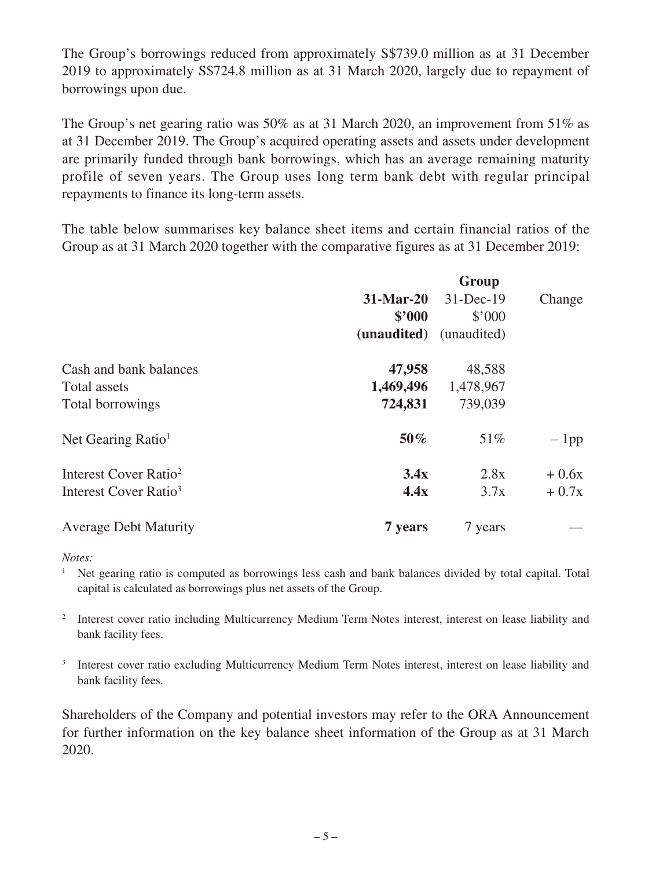The Group's borrowings reduced from approximately S\$739.0 million as at 31 December 2019 to approximately S\$724.8 million as at 31 March 2020, largely due to repayment of borrowings upon due.

The Group's net gearing ratio was 50% as at 31 March 2020, an improvement from 51% as at 31 December 2019. The Group's acquired operating assets and assets under development are primarily funded through bank borrowings, which has an average remaining maturity profile of seven years. The Group uses long term bank debt with regular principal repayments to finance its long-term assets.

The table below summarises key balance sheet items and certain financial ratios of the Group as at 31 March 2020 together with the comparative figures as at 31 December 2019:

|                                   | Group       |               |         |  |
|-----------------------------------|-------------|---------------|---------|--|
|                                   | $31-Mar-20$ | $31 - Dec-19$ | Change  |  |
|                                   | \$'000      | \$'000        |         |  |
|                                   | (unaudited) | (unaudited)   |         |  |
| Cash and bank balances            | 47,958      | 48,588        |         |  |
| Total assets                      | 1,469,496   | 1,478,967     |         |  |
| Total borrowings                  | 724,831     | 739,039       |         |  |
| Net Gearing Ratio <sup>1</sup>    | 50%         | 51%           | $-1$ pp |  |
| Interest Cover Ratio <sup>2</sup> | 3.4x        | 2.8x          | $+0.6x$ |  |
| Interest Cover Ratio <sup>3</sup> | 4.4x        | 3.7x          | $+0.7x$ |  |
| <b>Average Debt Maturity</b>      | 7 years     | 7 years       |         |  |

*Notes:*

<sup>1</sup> Net gearing ratio is computed as borrowings less cash and bank balances divided by total capital. Total capital is calculated as borrowings plus net assets of the Group.

<sup>2</sup> Interest cover ratio including Multicurrency Medium Term Notes interest, interest on lease liability and bank facility fees.

<sup>3</sup> Interest cover ratio excluding Multicurrency Medium Term Notes interest, interest on lease liability and bank facility fees.

Shareholders of the Company and potential investors may refer to the ORA Announcement for further information on the key balance sheet information of the Group as at 31 March 2020.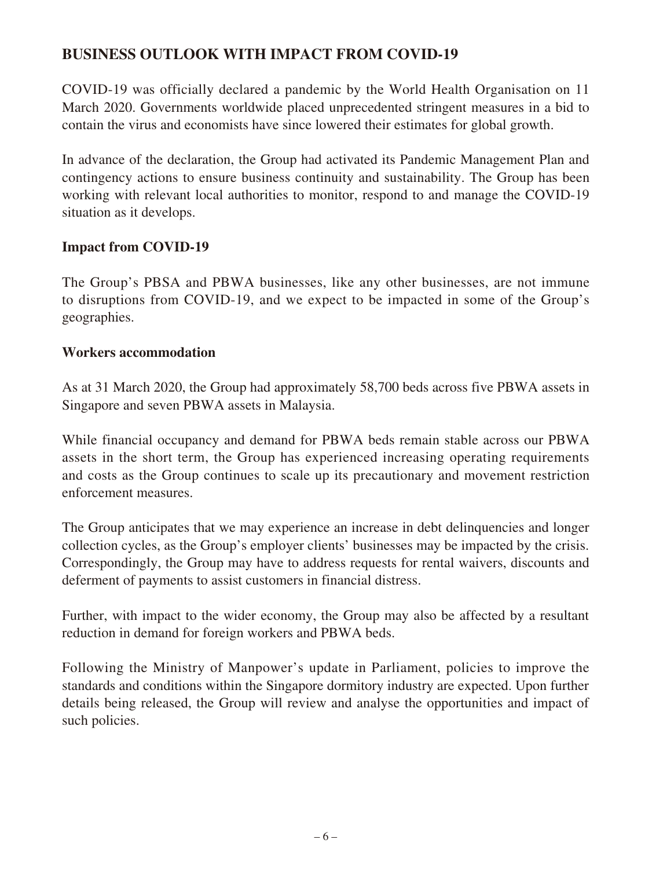## **BUSINESS OUTLOOK WITH IMPACT FROM COVID-19**

COVID-19 was officially declared a pandemic by the World Health Organisation on 11 March 2020. Governments worldwide placed unprecedented stringent measures in a bid to contain the virus and economists have since lowered their estimates for global growth.

In advance of the declaration, the Group had activated its Pandemic Management Plan and contingency actions to ensure business continuity and sustainability. The Group has been working with relevant local authorities to monitor, respond to and manage the COVID-19 situation as it develops.

### **Impact from COVID-19**

The Group's PBSA and PBWA businesses, like any other businesses, are not immune to disruptions from COVID-19, and we expect to be impacted in some of the Group's geographies.

#### **Workers accommodation**

As at 31 March 2020, the Group had approximately 58,700 beds across five PBWA assets in Singapore and seven PBWA assets in Malaysia.

While financial occupancy and demand for PBWA beds remain stable across our PBWA assets in the short term, the Group has experienced increasing operating requirements and costs as the Group continues to scale up its precautionary and movement restriction enforcement measures.

The Group anticipates that we may experience an increase in debt delinquencies and longer collection cycles, as the Group's employer clients' businesses may be impacted by the crisis. Correspondingly, the Group may have to address requests for rental waivers, discounts and deferment of payments to assist customers in financial distress.

Further, with impact to the wider economy, the Group may also be affected by a resultant reduction in demand for foreign workers and PBWA beds.

Following the Ministry of Manpower's update in Parliament, policies to improve the standards and conditions within the Singapore dormitory industry are expected. Upon further details being released, the Group will review and analyse the opportunities and impact of such policies.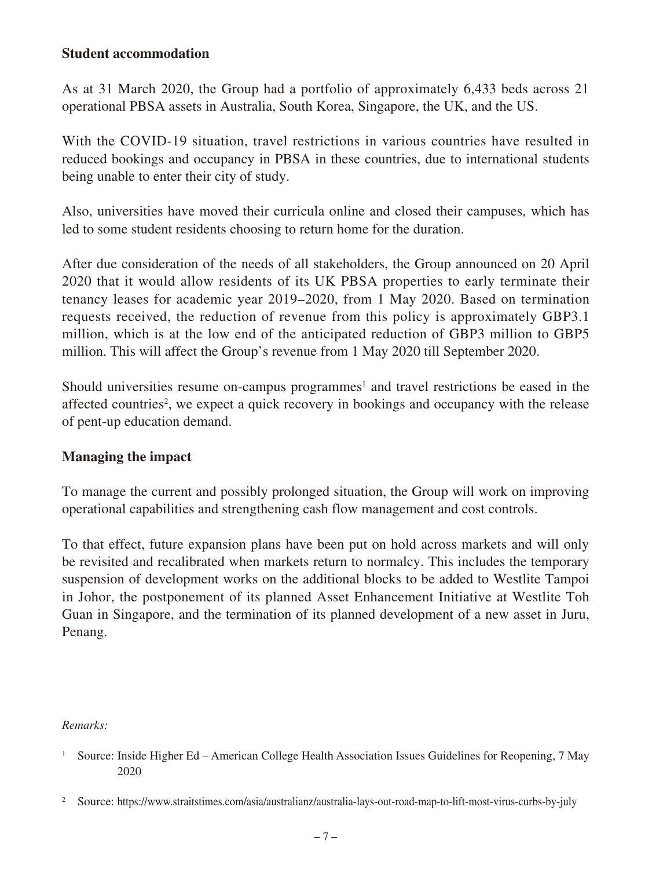#### **Student accommodation**

As at 31 March 2020, the Group had a portfolio of approximately 6,433 beds across 21 operational PBSA assets in Australia, South Korea, Singapore, the UK, and the US.

With the COVID-19 situation, travel restrictions in various countries have resulted in reduced bookings and occupancy in PBSA in these countries, due to international students being unable to enter their city of study.

Also, universities have moved their curricula online and closed their campuses, which has led to some student residents choosing to return home for the duration.

After due consideration of the needs of all stakeholders, the Group announced on 20 April 2020 that it would allow residents of its UK PBSA properties to early terminate their tenancy leases for academic year 2019–2020, from 1 May 2020. Based on termination requests received, the reduction of revenue from this policy is approximately GBP3.1 million, which is at the low end of the anticipated reduction of GBP3 million to GBP5 million. This will affect the Group's revenue from 1 May 2020 till September 2020.

Should universities resume on-campus programmes<sup>1</sup> and travel restrictions be eased in the affected countries<sup>2</sup>, we expect a quick recovery in bookings and occupancy with the release of pent-up education demand.

### **Managing the impact**

To manage the current and possibly prolonged situation, the Group will work on improving operational capabilities and strengthening cash flow management and cost controls.

To that effect, future expansion plans have been put on hold across markets and will only be revisited and recalibrated when markets return to normalcy. This includes the temporary suspension of development works on the additional blocks to be added to Westlite Tampoi in Johor, the postponement of its planned Asset Enhancement Initiative at Westlite Toh Guan in Singapore, and the termination of its planned development of a new asset in Juru, Penang.

#### *Remarks:*

<sup>&</sup>lt;sup>1</sup> Source: Inside Higher Ed – American College Health Association Issues Guidelines for Reopening, 7 May 2020

<sup>&</sup>lt;sup>2</sup> Source: https://www.straitstimes.com/asia/australianz/australia-lays-out-road-map-to-lift-most-virus-curbs-by-july